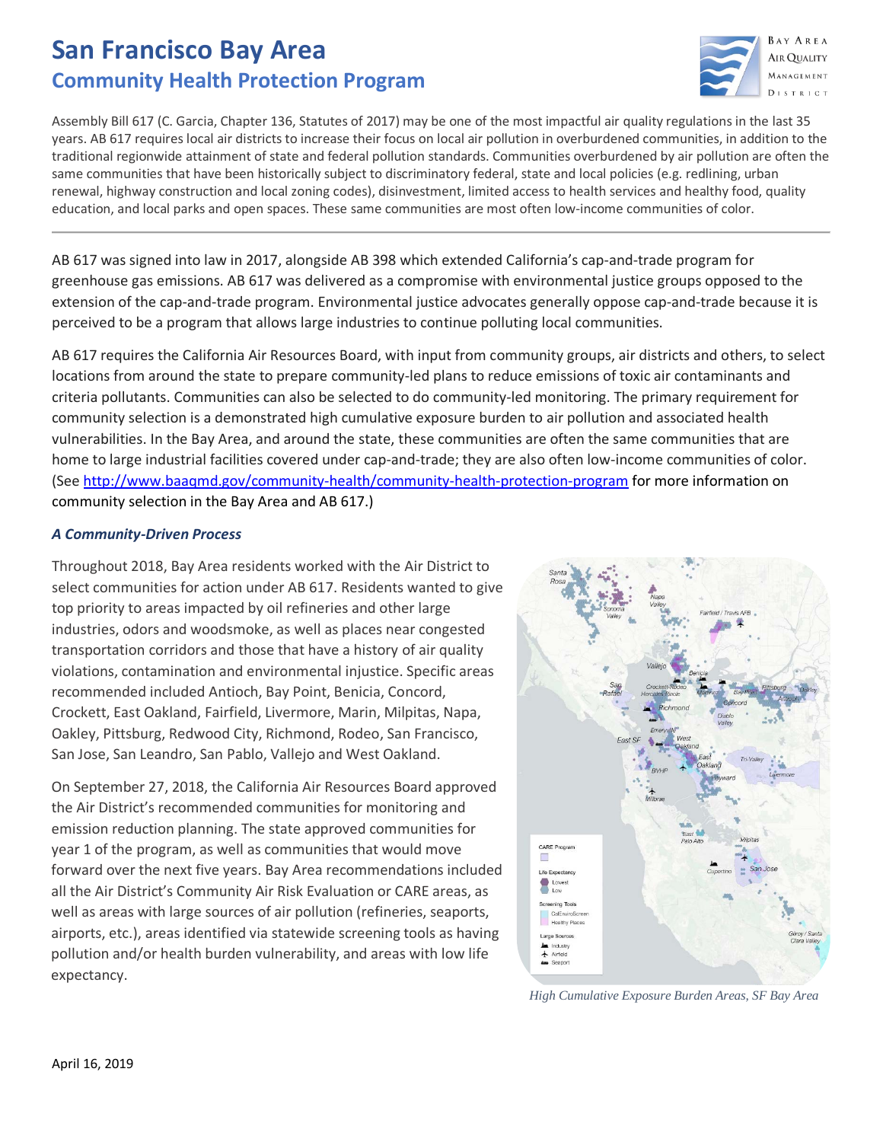# **San Francisco Bay Area Community Health Protection Program**



Assembly Bill 617 (C. Garcia, Chapter 136, Statutes of 2017) may be one of the most impactful air quality regulations in the last 35 years. AB 617 requires local air districts to increase their focus on local air pollution in overburdened communities, in addition to the traditional regionwide attainment of state and federal pollution standards. Communities overburdened by air pollution are often the same communities that have been historically subject to discriminatory federal, state and local policies (e.g. redlining, urban renewal, highway construction and local zoning codes), disinvestment, limited access to health services and healthy food, quality education, and local parks and open spaces. These same communities are most often low-income communities of color.

AB 617 was signed into law in 2017, alongside AB 398 which extended California's cap-and-trade program for greenhouse gas emissions. AB 617 was delivered as a compromise with environmental justice groups opposed to the extension of the cap-and-trade program. Environmental justice advocates generally oppose cap-and-trade because it is perceived to be a program that allows large industries to continue polluting local communities.

AB 617 requires the California Air Resources Board, with input from community groups, air districts and others, to select locations from around the state to prepare community-led plans to reduce emissions of toxic air contaminants and criteria pollutants. Communities can also be selected to do community-led monitoring. The primary requirement for community selection is a demonstrated high cumulative exposure burden to air pollution and associated health vulnerabilities. In the Bay Area, and around the state, these communities are often the same communities that are home to large industrial facilities covered under cap-and-trade; they are also often low-income communities of color. (See<http://www.baaqmd.gov/community-health/community-health-protection-program> for more information on community selection in the Bay Area and AB 617.)

# *A Community-Driven Process*

Throughout 2018, Bay Area residents worked with the Air District to select communities for action under AB 617. Residents wanted to give top priority to areas impacted by oil refineries and other large industries, odors and woodsmoke, as well as places near congested transportation corridors and those that have a history of air quality violations, contamination and environmental injustice. Specific areas recommended included Antioch, Bay Point, Benicia, Concord, Crockett, East Oakland, Fairfield, Livermore, Marin, Milpitas, Napa, Oakley, Pittsburg, Redwood City, Richmond, Rodeo, San Francisco, San Jose, San Leandro, San Pablo, Vallejo and West Oakland.

On September 27, 2018, the California Air Resources Board approved the Air District's recommended communities for monitoring and emission reduction planning. The state approved communities for year 1 of the program, as well as communities that would move forward over the next five years. Bay Area recommendations included all the Air District's Community Air Risk Evaluation or CARE areas, as well as areas with large sources of air pollution (refineries, seaports, airports, etc.), areas identified via statewide screening tools as having pollution and/or health burden vulnerability, and areas with low life expectancy.



*High Cumulative Exposure Burden Areas, SF Bay Area*